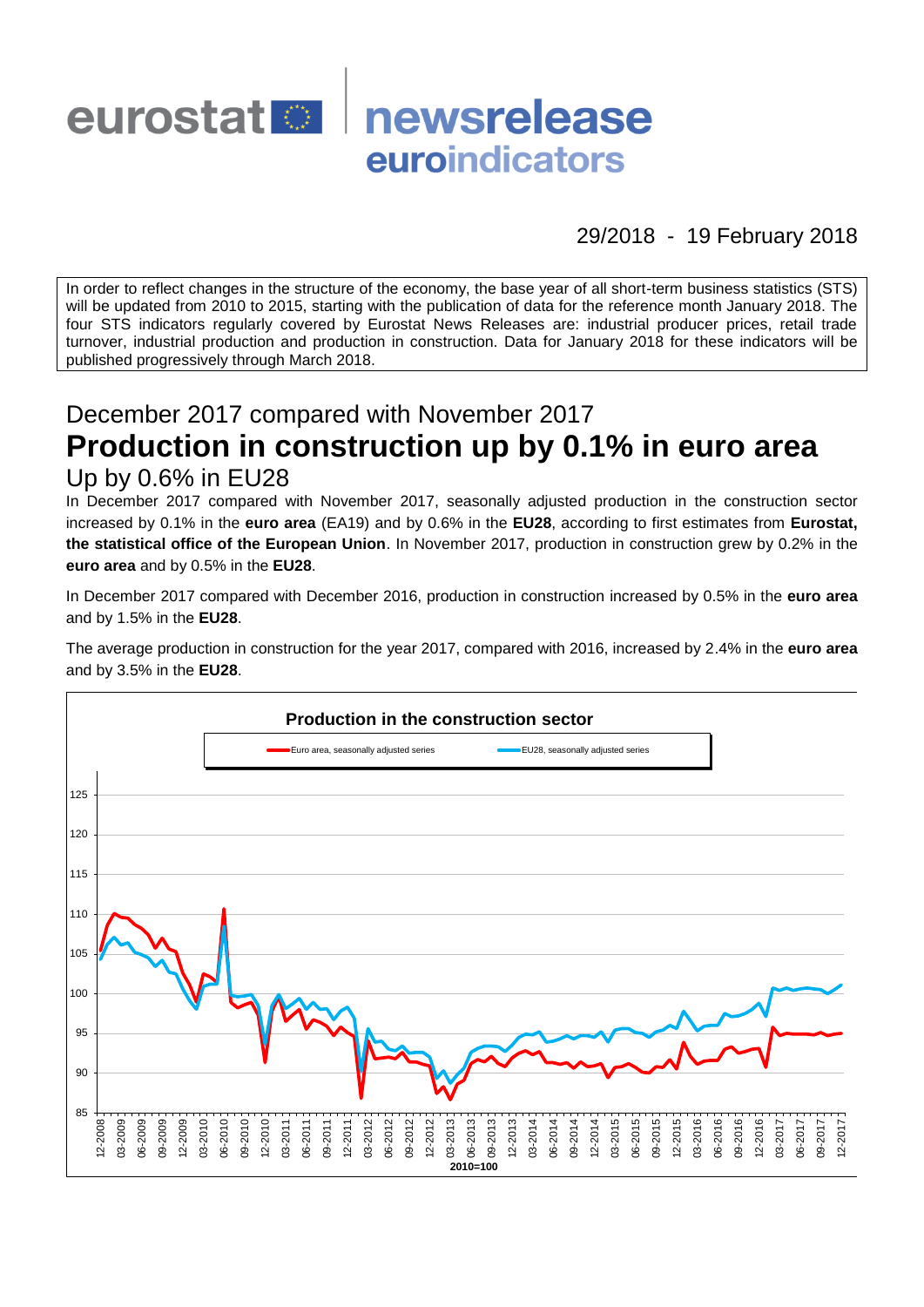

## 29/2018 - 19 February 2018

In order to reflect changes in the structure of the economy, the base year of all short-term business statistics (STS) will be updated from 2010 to 2015, starting with the publication of data for the reference month January 2018. The four STS indicators regularly covered by Eurostat News Releases are: industrial producer prices, retail trade turnover, industrial production and production in construction. Data for January 2018 for these indicators will be published progressively through March 2018.

# December 2017 compared with November 2017 **Production in construction up by 0.1% in euro area** Up by 0.6% in EU28

In December 2017 compared with November 2017, seasonally adjusted production in the construction sector increased by 0.1% in the **euro area** (EA19) and by 0.6% in the **EU28**, according to first estimates from **Eurostat, the statistical office of the European Union**. In November 2017, production in construction grew by 0.2% in the **euro area** and by 0.5% in the **EU28**.

In December 2017 compared with December 2016, production in construction increased by 0.5% in the **euro area** and by 1.5% in the **EU28**.

The average production in construction for the year 2017, compared with 2016, increased by 2.4% in the **euro area** and by 3.5% in the **EU28**.

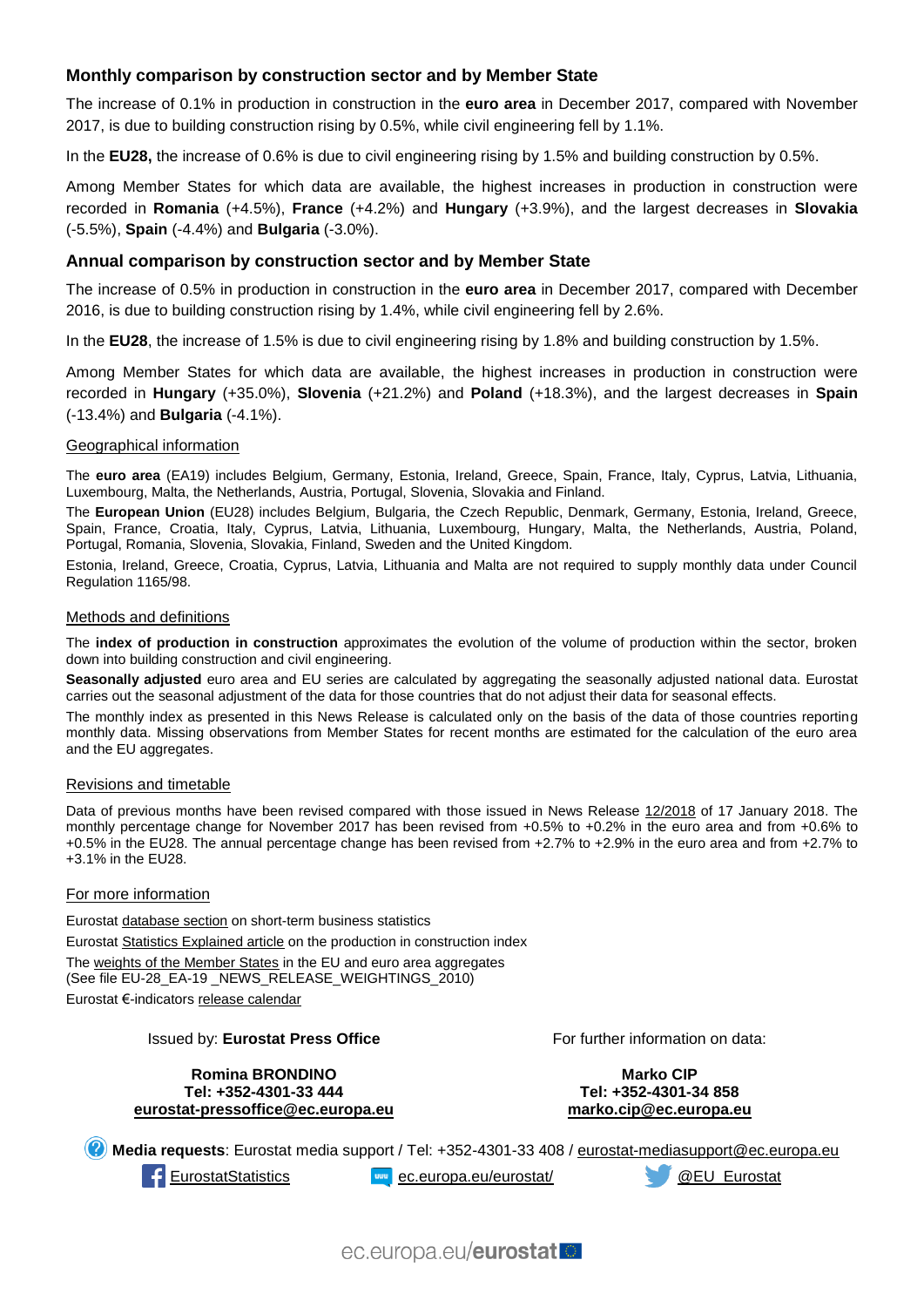## **Monthly comparison by construction sector and by Member State**

The increase of 0.1% in production in construction in the **euro area** in December 2017, compared with November 2017, is due to building construction rising by 0.5%, while civil engineering fell by 1.1%.

In the **EU28,** the increase of 0.6% is due to civil engineering rising by 1.5% and building construction by 0.5%.

Among Member States for which data are available, the highest increases in production in construction were recorded in **Romania** (+4.5%), **France** (+4.2%) and **Hungary** (+3.9%), and the largest decreases in **Slovakia** (-5.5%), **Spain** (-4.4%) and **Bulgaria** (-3.0%).

#### **Annual comparison by construction sector and by Member State**

The increase of 0.5% in production in construction in the **euro area** in December 2017, compared with December 2016, is due to building construction rising by 1.4%, while civil engineering fell by 2.6%.

In the **EU28**, the increase of 1.5% is due to civil engineering rising by 1.8% and building construction by 1.5%.

Among Member States for which data are available, the highest increases in production in construction were recorded in **Hungary** (+35.0%), **Slovenia** (+21.2%) and **Poland** (+18.3%), and the largest decreases in **Spain** (-13.4%) and **Bulgaria** (-4.1%).

#### Geographical information

The **euro area** (EA19) includes Belgium, Germany, Estonia, Ireland, Greece, Spain, France, Italy, Cyprus, Latvia, Lithuania, Luxembourg, Malta, the Netherlands, Austria, Portugal, Slovenia, Slovakia and Finland.

The **European Union** (EU28) includes Belgium, Bulgaria, the Czech Republic, Denmark, Germany, Estonia, Ireland, Greece, Spain, France, Croatia, Italy, Cyprus, Latvia, Lithuania, Luxembourg, Hungary, Malta, the Netherlands, Austria, Poland, Portugal, Romania, Slovenia, Slovakia, Finland, Sweden and the United Kingdom.

Estonia, Ireland, Greece, Croatia, Cyprus, Latvia, Lithuania and Malta are not required to supply monthly data under Council Regulation 1165/98.

#### Methods and definitions

The **index of production in construction** approximates the evolution of the volume of production within the sector, broken down into building construction and civil engineering.

**Seasonally adjusted** euro area and EU series are calculated by aggregating the seasonally adjusted national data. Eurostat carries out the seasonal adjustment of the data for those countries that do not adjust their data for seasonal effects.

The monthly index as presented in this News Release is calculated only on the basis of the data of those countries reporting monthly data. Missing observations from Member States for recent months are estimated for the calculation of the euro area and the EU aggregates.

#### Revisions and timetable

Data of previous months have been revised compared with those issued in News Release [12/2018](http://ec.europa.eu/eurostat/documents/2995521/8593512/4-17012018-BP-EN.pdf/03545ef3-5c48-456d-bede-2451e25b4e9b) of 17 January 2018. The monthly percentage change for November 2017 has been revised from +0.5% to +0.2% in the euro area and from +0.6% to +0.5% in the EU28. The annual percentage change has been revised from +2.7% to +2.9% in the euro area and from +2.7% to +3.1% in the EU28.

#### For more information

Eurosta[t database section](http://ec.europa.eu/eurostat/web/short-term-business-statistics/data/database) on short-term business statistics Eurosta[t Statistics Explained article](http://ec.europa.eu/eurostat/statistics-explained/index.php/Construction_production_(volume)_index_overview) on the production in construction index Th[e weights of the Member States](https://circabc.europa.eu/w/browse/5e6d1e48-056c-4c6a-8278-3ab138bcf575) in the EU and euro area aggregates (See file EU-28\_EA-19 \_NEWS\_RELEASE\_WEIGHTINGS\_2010) Eurostat €-indicator[s release calendar](http://ec.europa.eu/eurostat/news/release-calendar)

#### Issued by: **Eurostat Press Office**

**Romina BRONDINO Tel: +352-4301-33 444 [eurostat-pressoffice@ec.europa.eu](mailto:eurostat-pressoffice@ec.europa.eu)** For further information on data:

**Marko CIP Tel: +352-4301-34 858 [marko.cip@ec.europa.eu](mailto:marko.cip@ec.europa.eu)**

**Media requests**: Eurostat media support / Tel: +352-4301-33 408 / [eurostat-mediasupport@ec.europa.eu](mailto:eurostat-mediasupport@ec.europa.eu)

[EurostatStatistics](http://www.facebook.com/EurostatStatistics) [ec.europa.eu/eurostat/](http://ec.europa.eu/eurostat/) [@EU\\_Eurostat](http://twitter.com/EU_Eurostat)

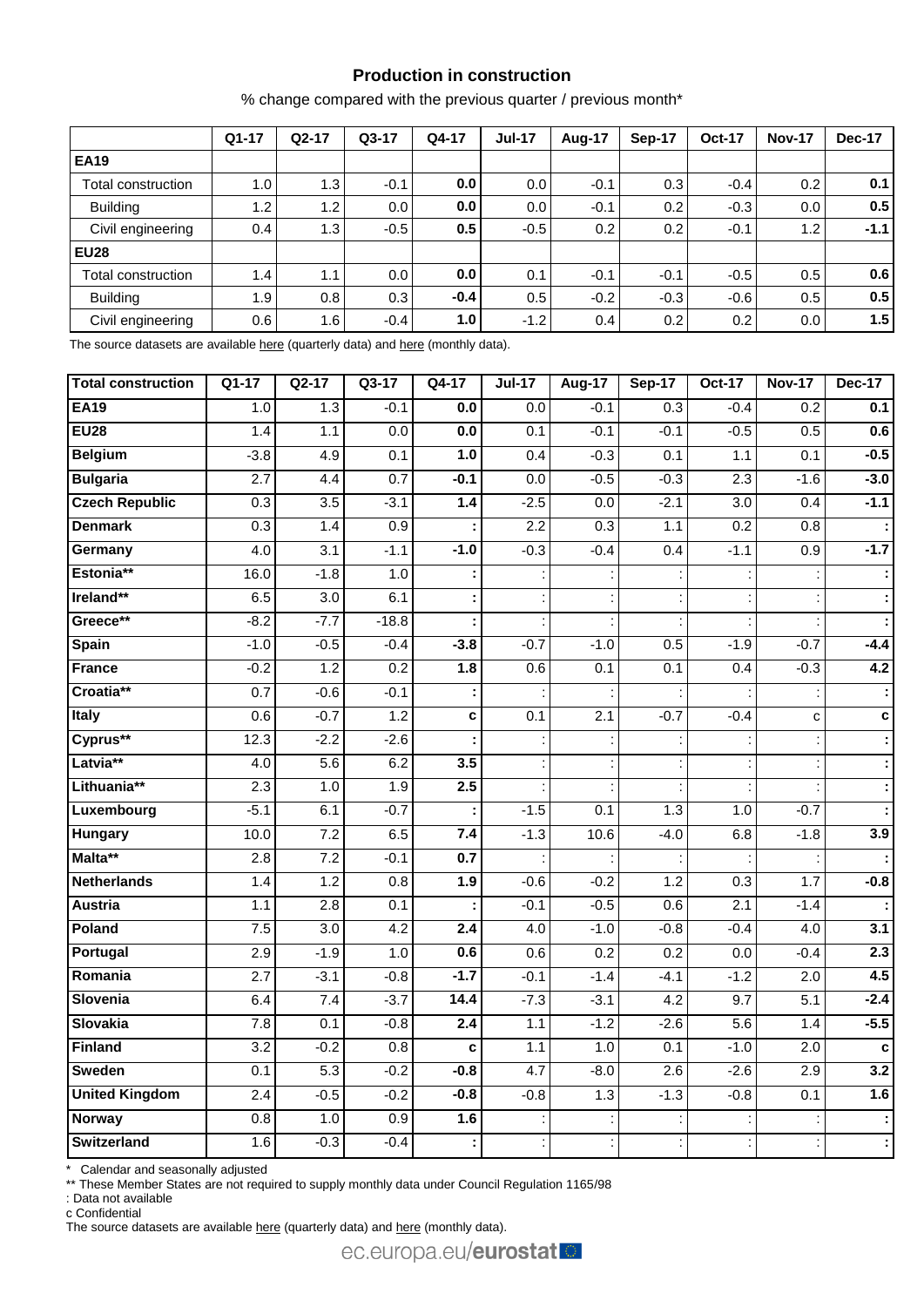## **Production in construction**

% change compared with the previous quarter / previous month\*

|                    | $Q1-17$          | $Q2-17$ | $Q3-17$ | Q4-17            | <b>Jul-17</b> | Aug-17           | Sep-17 | <b>Oct-17</b>    | <b>Nov-17</b> | Dec-17 |
|--------------------|------------------|---------|---------|------------------|---------------|------------------|--------|------------------|---------------|--------|
| <b>EA19</b>        |                  |         |         |                  |               |                  |        |                  |               |        |
| Total construction | 1.0 <sub>l</sub> | 1.3     | $-0.1$  | 0.0              | 0.0           | $-0.1$           | 0.3    | $-0.4$           | 0.2           | 0.1    |
| <b>Building</b>    | 1.2              | 1.2     | 0.0     | 0.0              | 0.0           | $-0.1$           | 0.2    | $-0.3$           | 0.0           | 0.5    |
| Civil engineering  | 0.4              | 1.3     | $-0.5$  | 0.5              | $-0.5$        | 0.2 <sub>0</sub> | 0.2    | $-0.1$           | 1.2           | $-1.1$ |
| <b>EU28</b>        |                  |         |         |                  |               |                  |        |                  |               |        |
| Total construction | 1.4              | 1.1     | 0.0     | 0.0              | 0.1           | $-0.1$           | $-0.1$ | $-0.5$           | 0.5           | 0.6    |
| <b>Building</b>    | 1.9 <sup>1</sup> | 0.8     | 0.3     | $-0.4$           | 0.5           | $-0.2$           | $-0.3$ | $-0.6$           | 0.5           | 0.5    |
| Civil engineering  | 0.6              | 1.6     | $-0.4$  | 1.0 <sub>l</sub> | $-1.2$        | 0.4              | 0.2    | 0.2 <sub>0</sub> | 0.0           | 1.5    |

The source datasets are availabl[e here](http://appsso.eurostat.ec.europa.eu/nui/show.do?query=BOOKMARK_DS-069621_QID_-1D55C035_UID_-3F171EB0&layout=TIME,C,X,0;GEO,L,Y,0;NACE_R2,L,Y,1;INDIC_BT,L,Z,0;S_ADJ,L,Z,1;UNIT,L,Z,2;INDICATORS,C,Z,3;&zSelection=DS-069621UNIT,PCH_SM;DS-069621S_ADJ,CA;DS-069621INDICATORS,OBS_FLAG;DS-069621INDIC_BT,PROD;&rankName1=UNIT_1_2_-1_2&rankName2=INDIC-BT_1_2_-1_2&rankName3=INDICATORS_1_2_-1_2&rankName4=S-ADJ_1_2_-1_2&rankName5=TIME_1_0_0_0&rankName6=GEO_1_0_0_1&rankName7=NACE-R2_1_2_1_1&sortR=ASC_-1_FIRST&sortC=ASC_-1_FIRST&rStp=&cStp=&rDCh=&cDCh=&rDM=true&cDM=true&footnes=false&empty=false&wai=false&time_mode=ROLLING&time_most_recent=true&lang=EN&cfo=%23%23%23%2C%23%23%23.%23%23%23) (quarterly data) an[d here](http://appsso.eurostat.ec.europa.eu/nui/show.do?query=BOOKMARK_DS-069591_QID_58C109BA_UID_-3F171EB0&layout=TIME,C,X,0;GEO,L,Y,0;NACE_R2,L,Y,1;INDIC_BT,L,Z,0;S_ADJ,L,Z,1;UNIT,L,Z,2;INDICATORS,C,Z,3;&zSelection=DS-069591INDICATORS,OBS_FLAG;DS-069591S_ADJ,CA;DS-069591INDIC_BT,PROD;DS-069591UNIT,PCH_SM;&rankName1=UNIT_1_2_-1_2&rankName2=INDIC-BT_1_2_-1_2&rankName3=INDICATORS_1_2_-1_2&rankName4=S-ADJ_1_2_-1_2&rankName5=TIME_1_0_0_0&rankName6=GEO_1_0_0_1&rankName7=NACE-R2_1_2_1_1&sortR=ASC_-1_FIRST&sortC=ASC_-1_FIRST&rStp=&cStp=&rDCh=&cDCh=&rDM=true&cDM=true&footnes=false&empty=false&wai=false&time_mode=ROLLING&time_most_recent=true&lang=EN&cfo=%23%23%23%2C%23%23%23.%23%23%23) (monthly data).

| <b>Total construction</b> | $Q1-17$          | $Q2-17$          | $Q3-17$          | $Q4-17$ | $Jul-17$         | <b>Aug-17</b>    | <b>Sep-17</b> | <b>Oct-17</b>    | <b>Nov-17</b>    | <b>Dec-17</b> |
|---------------------------|------------------|------------------|------------------|---------|------------------|------------------|---------------|------------------|------------------|---------------|
| <b>EA19</b>               | 1.0              | 1.3              | $-0.1$           | 0.0     | $\overline{0.0}$ | $-0.1$           | 0.3           | $-0.4$           | 0.2              | 0.1           |
| <b>EU28</b>               | 1.4              | 1.1              | 0.0              | 0.0     | 0.1              | $-0.1$           | $-0.1$        | $-0.5$           | 0.5              | 0.6           |
| <b>Belgium</b>            | $-3.8$           | 4.9              | 0.1              | 1.0     | 0.4              | $-0.3$           | 0.1           | 1.1              | 0.1              | $-0.5$        |
| <b>Bulgaria</b>           | 2.7              | 4.4              | 0.7              | $-0.1$  | 0.0              | $-0.5$           | $-0.3$        | 2.3              | $-1.6$           | $-3.0$        |
| <b>Czech Republic</b>     | 0.3              | $\overline{3.5}$ | $-3.1$           | 1.4     | $-2.5$           | $\overline{0.0}$ | $-2.1$        | $\overline{3.0}$ | 0.4              | $-1.1$        |
| <b>Denmark</b>            | 0.3              | 1.4              | 0.9              |         | 2.2              | 0.3              | 1.1           | 0.2              | $\overline{0.8}$ |               |
| Germany                   | 4.0              | 3.1              | $-1.1$           | $-1.0$  | $-0.3$           | $-0.4$           | 0.4           | $-1.1$           | 0.9              | $-1.7$        |
| Estonia**                 | 16.0             | $-1.8$           | $1.0$            |         |                  |                  |               |                  |                  | ÷             |
| Ireland**                 | 6.5              | 3.0              | 6.1              |         |                  |                  |               |                  |                  | ÷             |
| Greece**                  | $-8.2$           | $-7.7$           | $-18.8$          |         |                  |                  |               |                  |                  | ÷             |
| Spain                     | $-1.0$           | $-0.5$           | $-0.4$           | $-3.8$  | $-0.7$           | $-1.0$           | 0.5           | $-1.9$           | $-0.7$           | $-4.4$        |
| <b>France</b>             | $-0.2$           | 1.2              | 0.2              | 1.8     | 0.6              | 0.1              | 0.1           | 0.4              | $-0.3$           | 4.2           |
| Croatia**                 | 0.7              | $-0.6$           | $-0.1$           |         |                  |                  |               |                  |                  | ÷             |
| <b>Italy</b>              | 0.6              | $-0.7$           | 1.2              | C       | 0.1              | 2.1              | $-0.7$        | $-0.4$           | c                | $\mathbf c$   |
| Cyprus**                  | 12.3             | $-2.2$           | $-2.6$           |         |                  |                  |               |                  |                  | ÷             |
| Latvia**                  | 4.0              | 5.6              | 6.2              | 3.5     |                  |                  |               |                  |                  |               |
| Lithuania**               | 2.3              | 1.0              | 1.9              | 2.5     |                  |                  |               |                  |                  | ÷             |
| Luxembourg                | $-5.1$           | 6.1              | $-0.7$           |         | $-1.5$           | 0.1              | 1.3           | 1.0              | $-0.7$           |               |
| <b>Hungary</b>            | 10.0             | 7.2              | 6.5              | 7.4     | $-1.3$           | 10.6             | $-4.0$        | 6.8              | $-1.8$           | 3.9           |
| Malta**                   | 2.8              | 7.2              | $-0.1$           | 0.7     |                  |                  |               |                  |                  |               |
| <b>Netherlands</b>        | 1.4              | 1.2              | $\overline{0.8}$ | 1.9     | $-0.6$           | $-0.2$           | 1.2           | 0.3              | 1.7              | $-0.8$        |
| <b>Austria</b>            | $\overline{1.1}$ | $\overline{2.8}$ | 0.1              |         | $-0.1$           | $-0.5$           | 0.6           | 2.1              | $-1.4$           |               |
| Poland                    | 7.5              | 3.0              | 4.2              | 2.4     | 4.0              | $-1.0$           | $-0.8$        | $-0.4$           | 4.0              | 3.1           |
| Portugal                  | 2.9              | $-1.9$           | 1.0              | 0.6     | 0.6              | 0.2              | 0.2           | $0.0\,$          | $-0.4$           | 2.3           |
| Romania                   | 2.7              | $-3.1$           | $-0.8$           | $-1.7$  | $-0.1$           | $-1.4$           | $-4.1$        | $-1.2$           | $\overline{2.0}$ | 4.5           |
| Slovenia                  | 6.4              | 7.4              | $-3.7$           | 14.4    | $-7.3$           | $-3.1$           | 4.2           | 9.7              | 5.1              | $-2.4$        |
| <b>Slovakia</b>           | 7.8              | 0.1              | $-0.8$           | 2.4     | 1.1              | $-1.2$           | $-2.6$        | 5.6              | 1.4              | $-5.5$        |
| <b>Finland</b>            | 3.2              | $-0.2$           | 0.8              | C       | 1.1              | 1.0              | 0.1           | $-1.0$           | 2.0              | $\mathbf c$   |
| Sweden                    | $\overline{0.1}$ | 5.3              | $-0.2$           | $-0.8$  | 4.7              | $-8.0$           | 2.6           | $-2.6$           | 2.9              | 3.2           |
| <b>United Kingdom</b>     | $\overline{2.4}$ | $-0.5$           | $-0.2$           | $-0.8$  | $-0.8$           | 1.3              | $-1.3$        | $-0.8$           | 0.1              | 1.6           |
| <b>Norway</b>             | 0.8              | 1.0              | $\overline{0.9}$ | 1.6     |                  |                  |               |                  |                  |               |
| <b>Switzerland</b>        | 1.6              | $-0.3$           | $-0.4$           |         |                  |                  |               |                  |                  | Ŧ             |

\* Calendar and seasonally adjusted

\*\* These Member States are not required to supply monthly data under Council Regulation 1165/98

: Data not available

c Confidential

The source datasets are available [here](http://appsso.eurostat.ec.europa.eu/nui/show.do?query=BOOKMARK_DS-069591_QID_6FE2C2A1_UID_-3F171EB0&layout=TIME,C,X,0;GEO,L,Y,0;INDIC_BT,L,Z,0;S_ADJ,L,Z,1;UNIT,L,Z,2;NACE_R2,L,Z,3;INDICATORS,C,Z,4;&zSelection=DS-069591NACE_R2,F;DS-069591INDICATORS,OBS_FLAG;DS-069591S_ADJ,SCA;DS-069591INDIC_BT,PROD;DS-069591UNIT,PCH_PRE;&rankName1=UNIT_1_2_-1_2&rankName2=INDIC-BT_1_2_-1_2&rankName3=INDICATORS_1_2_-1_2&rankName4=S-ADJ_1_2_-1_2&rankName5=NACE-R2_1_2_1_1&rankName6=TIME_1_0_0_0&rankName7=GEO_1_2_0_1&sortC=ASC_-1_FIRST&rStp=&cStp=&rDCh=&cDCh=&rDM=true&cDM=true&footnes=false&empty=false&wai=false&time_mode=ROLLING&time_most_recent=true&lang=EN&cfo=%23%23%23%2C%23%23%23.%23%23%23) (quarterly data) and here (monthly data).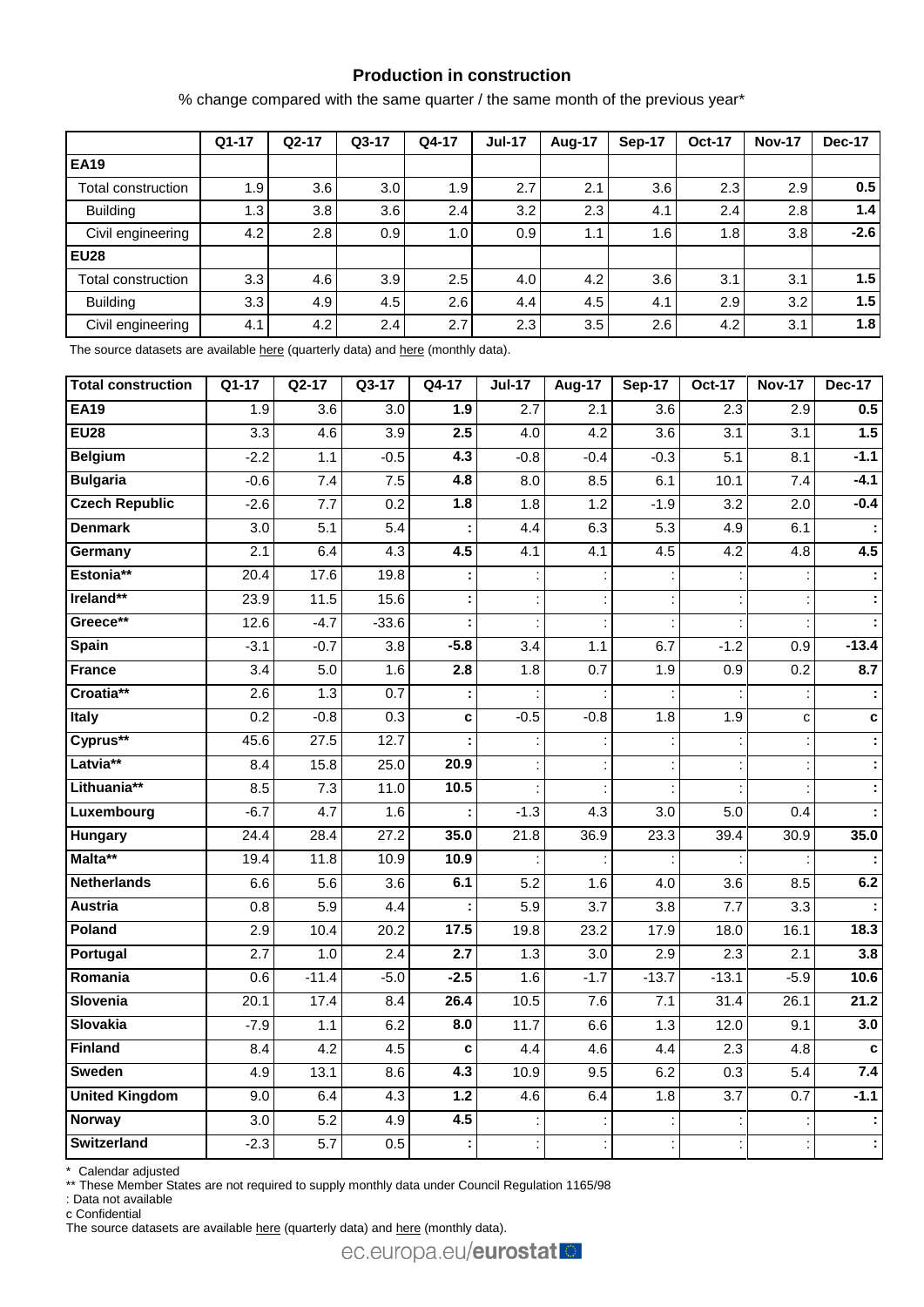## **Production in construction**

% change compared with the same quarter / the same month of the previous year\*

|                    | $Q1-17$ | $Q2-17$ | $Q3-17$ | Q4-17            | <b>Jul-17</b> | Aug-17 | Sep-17 | <b>Oct-17</b> | <b>Nov-17</b> | <b>Dec-17</b> |
|--------------------|---------|---------|---------|------------------|---------------|--------|--------|---------------|---------------|---------------|
| <b>EA19</b>        |         |         |         |                  |               |        |        |               |               |               |
| Total construction | 1.9     | 3.6     | 3.0     | 1.9              | 2.7           | 2.1    | 3.6    | 2.3           | 2.9           | 0.5           |
| <b>Building</b>    | 1.3     | 3.8     | 3.6     | 2.4              | 3.2           | 2.3    | 4.1    | 2.4           | 2.8           | 1.4           |
| Civil engineering  | 4.2     | 2.8     | 0.9     | 1.0 <sub>l</sub> | 0.9           | 1.1    | 1.6    | 1.8           | 3.8           | $-2.6$        |
| <b>EU28</b>        |         |         |         |                  |               |        |        |               |               |               |
| Total construction | 3.3     | 4.6     | 3.9     | 2.5              | 4.0           | 4.2    | 3.6    | 3.1           | 3.1           | 1.5           |
| <b>Building</b>    | 3.3     | 4.9     | 4.5     | 2.6              | 4.4           | 4.5    | 4.1    | 2.9           | 3.2           | 1.5           |
| Civil engineering  | 4.1     | 4.2     | 2.4     | 2.7              | 2.3           | 3.5    | 2.6    | 4.2           | 3.1           | 1.8           |

The source datasets are availabl[e here](http://appsso.eurostat.ec.europa.eu/nui/show.do?query=BOOKMARK_DS-069621_QID_66F9A0D6_UID_-3F171EB0&layout=TIME,C,X,0;GEO,L,Y,0;NACE_R2,L,Y,1;INDIC_BT,L,Z,0;S_ADJ,L,Z,1;UNIT,L,Z,2;INDICATORS,C,Z,3;&zSelection=DS-069621UNIT,PCH_SM;DS-069621S_ADJ,CA;DS-069621INDICATORS,OBS_FLAG;DS-069621INDIC_BT,PROD;&rankName1=UNIT_1_2_-1_2&rankName2=INDIC-BT_1_2_-1_2&rankName3=INDICATORS_1_2_-1_2&rankName4=S-ADJ_1_2_-1_2&rankName5=TIME_1_0_0_0&rankName6=GEO_1_0_0_1&rankName7=NACE-R2_1_2_1_1&sortR=ASC_-1_FIRST&sortC=ASC_-1_FIRST&rStp=&cStp=&rDCh=&cDCh=&rDM=true&cDM=true&footnes=false&empty=false&wai=false&time_mode=ROLLING&time_most_recent=true&lang=EN&cfo=%23%23%23%2C%23%23%23.%23%23%23) (quarterly data) an[d here](http://appsso.eurostat.ec.europa.eu/nui/show.do?query=BOOKMARK_DS-069591_QID_7DF3E9C9_UID_-3F171EB0&layout=TIME,C,X,0;GEO,L,Y,0;NACE_R2,L,Y,1;INDIC_BT,L,Z,0;S_ADJ,L,Z,1;UNIT,L,Z,2;INDICATORS,C,Z,3;&zSelection=DS-069591INDICATORS,OBS_FLAG;DS-069591S_ADJ,SCA;DS-069591INDIC_BT,PROD;DS-069591UNIT,PCH_PRE;&rankName1=UNIT_1_2_-1_2&rankName2=INDIC-BT_1_2_-1_2&rankName3=INDICATORS_1_2_-1_2&rankName4=S-ADJ_1_2_-1_2&rankName5=TIME_1_0_0_0&rankName6=GEO_1_0_0_1&rankName7=NACE-R2_1_2_1_1&sortR=ASC_-1_FIRST&sortC=ASC_-1_FIRST&rStp=&cStp=&rDCh=&cDCh=&rDM=true&cDM=true&footnes=false&empty=false&wai=false&time_mode=ROLLING&time_most_recent=true&lang=EN&cfo=%23%23%23%2C%23%23%23.%23%23%23) (monthly data).

| <b>Total construction</b> | $Q1-17$          | $Q2-17$          | $Q3-17$           | $Q4-17$ | $Jul-17$         | <b>Aug-17</b>    | <b>Sep-17</b>    | <b>Oct-17</b>    | <b>Nov-17</b>    | <b>Dec-17</b> |
|---------------------------|------------------|------------------|-------------------|---------|------------------|------------------|------------------|------------------|------------------|---------------|
| <b>EA19</b>               | 1.9              | 3.6              | 3.0               | 1.9     | 2.7              | 2.1              | $\overline{3.6}$ | 2.3              | 2.9              | 0.5           |
| <b>EU28</b>               | $\overline{3.3}$ | 4.6              | 3.9               | 2.5     | 4.0              | 4.2              | 3.6              | 3.1              | 3.1              | 1.5           |
| <b>Belgium</b>            | $-2.2$           | 1.1              | $-0.5$            | 4.3     | $-0.8$           | $-0.4$           | $-0.3$           | 5.1              | 8.1              | $-1.1$        |
| <b>Bulgaria</b>           | $-0.6$           | 7.4              | 7.5               | 4.8     | $\overline{8.0}$ | 8.5              | 6.1              | 10.1             | 7.4              | $-4.1$        |
| <b>Czech Republic</b>     | $-2.6$           | 7.7              | 0.2               | 1.8     | 1.8              | 1.2              | $-1.9$           | 3.2              | 2.0              | $-0.4$        |
| <b>Denmark</b>            | $\overline{3.0}$ | 5.1              | $\overline{5.4}$  |         | 4.4              | 6.3              | 5.3              | 4.9              | 6.1              |               |
| Germany                   | $\overline{2.1}$ | 6.4              | 4.3               | 4.5     | 4.1              | 4.1              | 4.5              | 4.2              | 4.8              | 4.5           |
| Estonia**                 | 20.4             | 17.6             | 19.8              |         |                  |                  |                  |                  |                  |               |
| Ireland**                 | 23.9             | 11.5             | 15.6              |         |                  |                  |                  |                  |                  |               |
| Greece**                  | 12.6             | $-4.7$           | $-33.6$           |         |                  |                  |                  |                  |                  |               |
| <b>Spain</b>              | $-3.1$           | $-0.7$           | 3.8               | $-5.8$  | $\overline{3.4}$ | 1.1              | 6.7              | $-1.2$           | $\overline{0.9}$ | $-13.4$       |
| <b>France</b>             | $\overline{3.4}$ | 5.0              | 1.6               | 2.8     | 1.8              | 0.7              | 1.9              | 0.9              | 0.2              | 8.7           |
| Croatia**                 | 2.6              | 1.3              | 0.7               |         |                  |                  |                  |                  |                  |               |
| <b>Italy</b>              | 0.2              | $-0.8$           | 0.3               | c       | $-0.5$           | $-0.8$           | 1.8              | 1.9              | C                | $\mathbf c$   |
| Cyprus**                  | 45.6             | 27.5             | $\overline{12.7}$ |         |                  |                  |                  |                  |                  |               |
| Latvia**                  | 8.4              | 15.8             | 25.0              | 20.9    |                  |                  |                  |                  |                  |               |
| Lithuania**               | 8.5              | 7.3              | 11.0              | 10.5    |                  |                  |                  |                  |                  |               |
| Luxembourg                | $-6.7$           | 4.7              | 1.6               |         | $-1.3$           | 4.3              | 3.0              | 5.0              | 0.4              |               |
| <b>Hungary</b>            | 24.4             | 28.4             | 27.2              | 35.0    | 21.8             | 36.9             | 23.3             | 39.4             | 30.9             | 35.0          |
| Malta**                   | 19.4             | 11.8             | 10.9              | 10.9    |                  |                  |                  |                  |                  |               |
| <b>Netherlands</b>        | 6.6              | 5.6              | 3.6               | 6.1     | 5.2              | 1.6              | 4.0              | 3.6              | 8.5              | 6.2           |
| Austria                   | 0.8              | 5.9              | 4.4               |         | 5.9              | $\overline{3.7}$ | 3.8              | $\overline{7.7}$ | 3.3              |               |
| Poland                    | 2.9              | 10.4             | 20.2              | 17.5    | 19.8             | 23.2             | 17.9             | 18.0             | 16.1             | 18.3          |
| Portugal                  | 2.7              | 1.0              | $\overline{2.4}$  | 2.7     | 1.3              | $\overline{3.0}$ | $\overline{2.9}$ | 2.3              | $\overline{2.1}$ | 3.8           |
| Romania                   | 0.6              | $-11.4$          | $-5.0$            | $-2.5$  | 1.6              | $-1.7$           | $-13.7$          | $-13.1$          | $-5.9$           | 10.6          |
| Slovenia                  | 20.1             | 17.4             | 8.4               | 26.4    | 10.5             | 7.6              | 7.1              | 31.4             | 26.1             | 21.2          |
| Slovakia                  | $-7.9$           | 1.1              | 6.2               | 8.0     | 11.7             | 6.6              | 1.3              | 12.0             | 9.1              | 3.0           |
| <b>Finland</b>            | 8.4              | 4.2              | $\overline{4.5}$  | C       | 4.4              | 4.6              | 4.4              | 2.3              | 4.8              | C             |
| Sweden                    | 4.9              | 13.1             | 8.6               | 4.3     | 10.9             | 9.5              | 6.2              | $\overline{0.3}$ | $\overline{5.4}$ | 7.4           |
| <b>United Kingdom</b>     | $\overline{9.0}$ | 6.4              | $\overline{4.3}$  | 1.2     | 4.6              | 6.4              | 1.8              | $\overline{3.7}$ | 0.7              | $-1.1$        |
| Norway                    | 3.0              | 5.2              | 4.9               | 4.5     |                  |                  |                  |                  |                  |               |
| <b>Switzerland</b>        | $-2.3$           | $\overline{5.7}$ | 0.5               |         |                  |                  |                  |                  |                  |               |

\* Calendar adjusted

\*\* These Member States are not required to supply monthly data under Council Regulation 1165/98

: Data not available

c Confidential

The source datasets are available [here](http://appsso.eurostat.ec.europa.eu/nui/show.do?query=BOOKMARK_DS-069591_QID_-16144A81_UID_-3F171EB0&layout=TIME,C,X,0;GEO,L,Y,0;INDIC_BT,L,Z,0;S_ADJ,L,Z,1;UNIT,L,Z,2;NACE_R2,L,Z,3;INDICATORS,C,Z,4;&zSelection=DS-069591NACE_R2,F;DS-069591INDICATORS,OBS_FLAG;DS-069591S_ADJ,SCA;DS-069591INDIC_BT,PROD;DS-069591UNIT,PCH_PRE;&rankName1=UNIT_1_2_-1_2&rankName2=INDIC-BT_1_2_-1_2&rankName3=INDICATORS_1_2_-1_2&rankName4=S-ADJ_1_2_-1_2&rankName5=NACE-R2_1_2_1_1&rankName6=TIME_1_0_0_0&rankName7=GEO_1_2_0_1&sortC=ASC_-1_FIRST&rStp=&cStp=&rDCh=&cDCh=&rDM=true&cDM=true&footnes=false&empty=false&wai=false&time_mode=ROLLING&time_most_recent=true&lang=EN&cfo=%23%23%23%2C%23%23%23.%23%23%23) (quarterly data) and here (monthly data).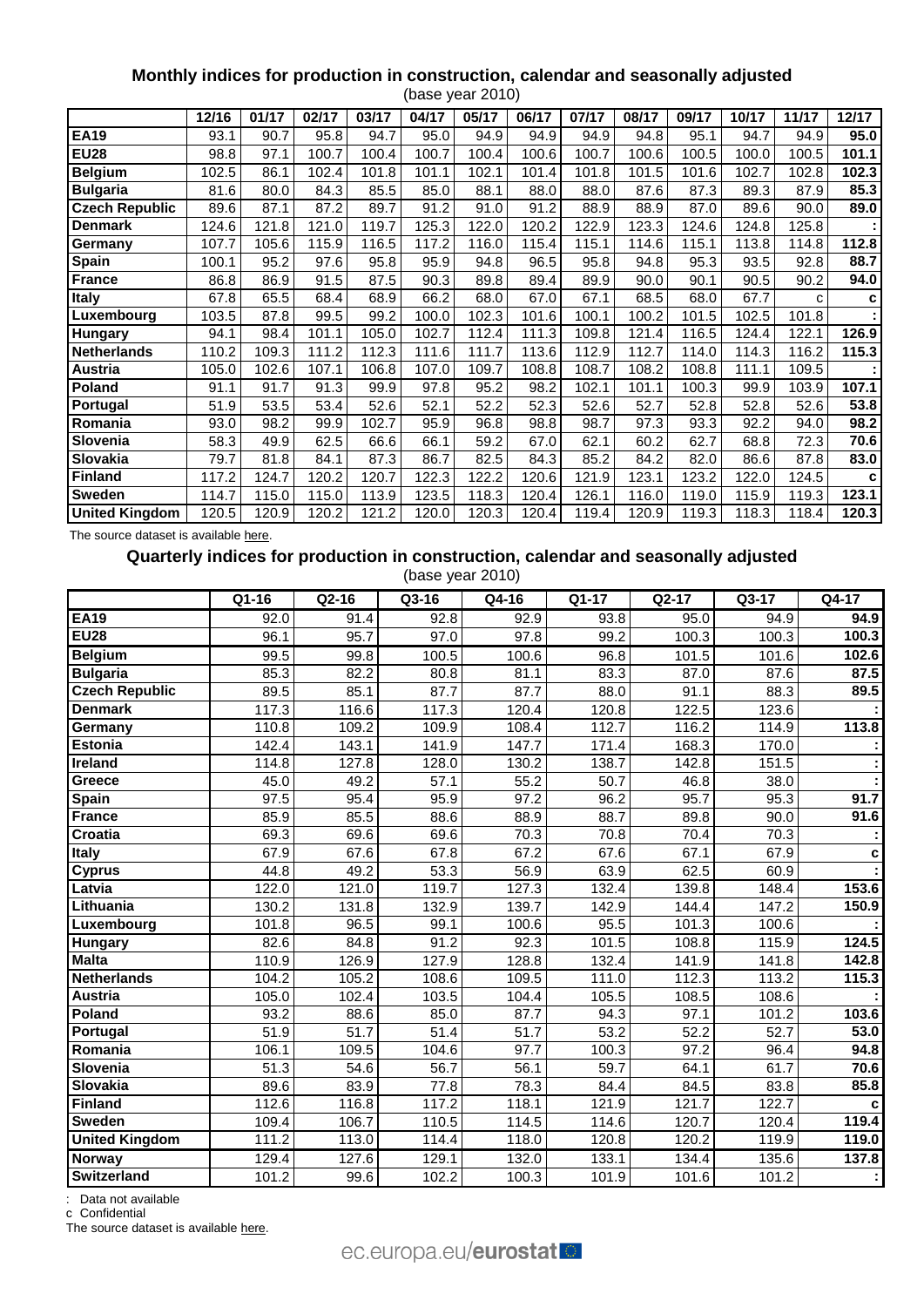## **Monthly indices for production in construction, calendar and seasonally adjusted**

|                       |       |       |       |       |       | (base year 2010) |       |       |       |       |       |       |                   |
|-----------------------|-------|-------|-------|-------|-------|------------------|-------|-------|-------|-------|-------|-------|-------------------|
|                       | 12/16 | 01/17 | 02/17 | 03/17 | 04/17 | 05/17            | 06/17 | 07/17 | 08/17 | 09/17 | 10/17 | 11/17 | 12/17             |
| <b>EA19</b>           | 93.1  | 90.7  | 95.8  | 94.7  | 95.0  | 94.9             | 94.9  | 94.9  | 94.8  | 95.1  | 94.7  | 94.9  | 95.0              |
| <b>EU28</b>           | 98.8  | 97.1  | 100.7 | 100.4 | 100.7 | 100.4            | 100.6 | 100.7 | 100.6 | 100.5 | 100.0 | 100.5 | 101.1             |
| <b>Belgium</b>        | 102.5 | 86.1  | 102.4 | 101.8 | 101.1 | 102.1            | 101.4 | 101.8 | 101.5 | 101.6 | 102.7 | 102.8 | 102.3             |
| <b>Bulgaria</b>       | 81.6  | 80.0  | 84.3  | 85.5  | 85.0  | 88.1             | 88.0  | 88.0  | 87.6  | 87.3  | 89.3  | 87.9  | 85.3              |
| <b>Czech Republic</b> | 89.6  | 87.1  | 87.2  | 89.7  | 91.2  | 91.0             | 91.2  | 88.9  | 88.9  | 87.0  | 89.6  | 90.0  | 89.0              |
| <b>Denmark</b>        | 124.6 | 121.8 | 121.0 | 119.7 | 125.3 | 122.0            | 120.2 | 122.9 | 123.3 | 124.6 | 124.8 | 125.8 |                   |
| Germany               | 107.7 | 105.6 | 115.9 | 116.5 | 117.2 | 116.0            | 115.4 | 115.1 | 114.6 | 115.1 | 113.8 | 114.8 | 112.8             |
| <b>Spain</b>          | 100.1 | 95.2  | 97.6  | 95.8  | 95.9  | 94.8             | 96.5  | 95.8  | 94.8  | 95.3  | 93.5  | 92.8  | 88.7              |
| <b>France</b>         | 86.8  | 86.9  | 91.5  | 87.5  | 90.3  | 89.8             | 89.4  | 89.9  | 90.0  | 90.1  | 90.5  | 90.2  | 94.0              |
| <b>Italy</b>          | 67.8  | 65.5  | 68.4  | 68.9  | 66.2  | 68.0             | 67.0  | 67.1  | 68.5  | 68.0  | 67.7  | c     | с                 |
| Luxembourg            | 103.5 | 87.8  | 99.5  | 99.2  | 100.0 | 102.3            | 101.6 | 100.1 | 100.2 | 101.5 | 102.5 | 101.8 |                   |
| <b>Hungary</b>        | 94.1  | 98.4  | 101.1 | 105.0 | 102.7 | 112.4            | 111.3 | 109.8 | 121.4 | 116.5 | 124.4 | 122.1 | 126.9             |
| <b>Netherlands</b>    | 110.2 | 109.3 | 111.2 | 112.3 | 111.6 | 111.7            | 113.6 | 112.9 | 112.7 | 114.0 | 114.3 | 116.2 | 115.3             |
| Austria               | 105.0 | 102.6 | 107.1 | 106.8 | 107.0 | 109.7            | 108.8 | 108.7 | 108.2 | 108.8 | 111.1 | 109.5 |                   |
| Poland                | 91.1  | 91.7  | 91.3  | 99.9  | 97.8  | 95.2             | 98.2  | 102.1 | 101.1 | 100.3 | 99.9  | 103.9 | 107.1             |
| Portugal              | 51.9  | 53.5  | 53.4  | 52.6  | 52.1  | 52.2             | 52.3  | 52.6  | 52.7  | 52.8  | 52.8  | 52.6  | $\overline{5}3.8$ |
| Romania               | 93.0  | 98.2  | 99.9  | 102.7 | 95.9  | 96.8             | 98.8  | 98.7  | 97.3  | 93.3  | 92.2  | 94.0  | 98.2              |
| Slovenia              | 58.3  | 49.9  | 62.5  | 66.6  | 66.1  | 59.2             | 67.0  | 62.1  | 60.2  | 62.7  | 68.8  | 72.3  | 70.6              |
| Slovakia              | 79.7  | 81.8  | 84.1  | 87.3  | 86.7  | 82.5             | 84.3  | 85.2  | 84.2  | 82.0  | 86.6  | 87.8  | 83.0              |
| <b>Finland</b>        | 117.2 | 124.7 | 120.2 | 120.7 | 122.3 | 122.2            | 120.6 | 121.9 | 123.1 | 123.2 | 122.0 | 124.5 | c                 |
| Sweden                | 114.7 | 115.0 | 115.0 | 113.9 | 123.5 | 118.3            | 120.4 | 126.1 | 116.0 | 119.0 | 115.9 | 119.3 | 123.1             |
| <b>United Kingdom</b> | 120.5 | 120.9 | 120.2 | 121.2 | 120.0 | 120.3            | 120.4 | 119.4 | 120.9 | 119.3 | 118.3 | 118.4 | 120.3             |

The source dataset is availabl[e here.](http://appsso.eurostat.ec.europa.eu/nui/show.do?query=BOOKMARK_DS-069591_QID_47E739CD_UID_-3F171EB0&layout=TIME,C,X,0;GEO,L,Y,0;INDIC_BT,L,Z,0;S_ADJ,L,Z,1;UNIT,L,Z,2;NACE_R2,L,Z,3;INDICATORS,C,Z,4;&zSelection=DS-069591NACE_R2,F;DS-069591INDICATORS,OBS_FLAG;DS-069591S_ADJ,CA;DS-069591INDIC_BT,PROD;DS-069591UNIT,PCH_SM;&rankName1=UNIT_1_2_-1_2&rankName2=INDIC-BT_1_2_-1_2&rankName3=INDICATORS_1_2_-1_2&rankName4=S-ADJ_1_2_-1_2&rankName5=NACE-R2_1_2_1_1&rankName6=TIME_1_0_0_0&rankName7=GEO_1_2_0_1&sortC=ASC_-1_FIRST&rStp=&cStp=&rDCh=&cDCh=&rDM=true&cDM=true&footnes=false&empty=false&wai=false&time_mode=ROLLING&time_most_recent=true&lang=EN&cfo=%23%23%23%2C%23%23%23.%23%23%23)

### **Quarterly indices for production in construction, calendar and seasonally adjusted**

(base year 2010)

|                       | Q1-16             | $Q2-16$            | Q3-16             | Q4-16 | Q1-17             | Q2-17             | $Q3-17$            | Q4-17       |
|-----------------------|-------------------|--------------------|-------------------|-------|-------------------|-------------------|--------------------|-------------|
| <b>EA19</b>           | 92.0              | 91.4               | 92.8              | 92.9  | 93.8              | 95.0              | 94.9               | 94.9        |
| <b>EU28</b>           | 96.1              | 95.7               | 97.0              | 97.8  | 99.2              | 100.3             | 100.3              | 100.3       |
| <b>Belgium</b>        | 99.5              | 99.8               | 100.5             | 100.6 | 96.8              | 101.5             | 101.6              | 102.6       |
| <b>Bulgaria</b>       | 85.3              | 82.2               | 80.8              | 81.1  | 83.3              | 87.0              | 87.6               | 87.5        |
| <b>Czech Republic</b> | 89.5              | 85.1               | 87.7              | 87.7  | 88.0              | 91.1              | 88.3               | 89.5        |
| <b>Denmark</b>        | 117.3             | 116.6              | 117.3             | 120.4 | 120.8             | 122.5             | 123.6              |             |
| Germany               | 110.8             | 109.2              | 109.9             | 108.4 | 112.7             | 116.2             | 114.9              | 113.8       |
| <b>Estonia</b>        | 142.4             | 143.1              | 141.9             | 147.7 | 171.4             | 168.3             | 170.0              |             |
| <b>Ireland</b>        | 114.8             | 127.8              | 128.0             | 130.2 | 138.7             | 142.8             | 151.5              |             |
| Greece                | 45.0              | 49.2               | $\overline{57.1}$ | 55.2  | $\overline{50.7}$ | 46.8              | 38.0               |             |
| Spain                 | 97.5              | 95.4               | 95.9              | 97.2  | 96.2              | 95.7              | 95.3               | 91.7        |
| <b>France</b>         | 85.9              | 85.5               | 88.6              | 88.9  | 88.7              | 89.8              | 90.0               | 91.6        |
| <b>Croatia</b>        | 69.3              | 69.6               | 69.6              | 70.3  | 70.8              | 70.4              | 70.3               |             |
| Italy                 | 67.9              | 67.6               | 67.8              | 67.2  | 67.6              | 67.1              | 67.9               | $\mathbf c$ |
| <b>Cyprus</b>         | 44.8              | 49.2               | 53.3              | 56.9  | 63.9              | 62.5              | 60.9               |             |
| Latvia                | 122.0             | $\overline{121.0}$ | 119.7             | 127.3 | 132.4             | 139.8             | 148.4              | 153.6       |
| Lithuania             | 130.2             | 131.8              | 132.9             | 139.7 | 142.9             | 144.4             | $\overline{147.2}$ | 150.9       |
| Luxembourg            | 101.8             | 96.5               | 99.1              | 100.6 | 95.5              | 101.3             | 100.6              |             |
| Hungary               | 82.6              | 84.8               | 91.2              | 92.3  | 101.5             | 108.8             | 115.9              | 124.5       |
| <b>Malta</b>          | 110.9             | 126.9              | 127.9             | 128.8 | 132.4             | 141.9             | 141.8              | 142.8       |
| <b>Netherlands</b>    | 104.2             | 105.2              | 108.6             | 109.5 | 111.0             | 112.3             | 113.2              | 115.3       |
| <b>Austria</b>        | 105.0             | 102.4              | 103.5             | 104.4 | 105.5             | 108.5             | 108.6              |             |
| Poland                | 93.2              | 88.6               | 85.0              | 87.7  | 94.3              | 97.1              | 101.2              | 103.6       |
| Portugal              | 51.9              | $\overline{51.7}$  | $\overline{51.4}$ | 51.7  | 53.2              | $\overline{52.2}$ | $\overline{52.7}$  | 53.0        |
| Romania               | 106.1             | 109.5              | 104.6             | 97.7  | 100.3             | 97.2              | 96.4               | 94.8        |
| Slovenia              | $\overline{51.3}$ | 54.6               | 56.7              | 56.1  | 59.7              | 64.1              | 61.7               | 70.6        |
| <b>Slovakia</b>       | 89.6              | 83.9               | 77.8              | 78.3  | 84.4              | 84.5              | 83.8               | 85.8        |
| <b>Finland</b>        | 112.6             | 116.8              | 117.2             | 118.1 | 121.9             | 121.7             | 122.7              | C           |
| <b>Sweden</b>         | 109.4             | 106.7              | 110.5             | 114.5 | 114.6             | 120.7             | 120.4              | 119.4       |
| <b>United Kingdom</b> | 111.2             | 113.0              | 114.4             | 118.0 | 120.8             | 120.2             | 119.9              | 119.0       |
| <b>Norway</b>         | 129.4             | 127.6              | 129.1             | 132.0 | 133.1             | 134.4             | 135.6              | 137.8       |
| <b>Switzerland</b>    | 101.2             | 99.6               | 102.2             | 100.3 | 101.9             | 101.6             | 101.2              | ÷           |

: Data not available

c Confidential

The source dataset is availabl[e here.](http://appsso.eurostat.ec.europa.eu/nui/show.do?query=BOOKMARK_DS-069621_QID_38FDA4CE_UID_-3F171EB0&layout=TIME,C,X,0;GEO,L,Y,0;INDIC_BT,L,Z,0;NACE_R2,L,Z,1;S_ADJ,L,Z,2;UNIT,L,Z,3;INDICATORS,C,Z,4;&zSelection=DS-069621UNIT,I10;DS-069621S_ADJ,CA;DS-069621NACE_R2,F;DS-069621INDICATORS,OBS_FLAG;DS-069621INDIC_BT,PROD;&rankName1=UNIT_1_2_-1_2&rankName2=INDIC-BT_1_2_-1_2&rankName3=INDICATORS_1_2_-1_2&rankName4=S-ADJ_1_2_-1_2&rankName5=NACE-R2_1_2_-1_2&rankName6=TIME_1_0_0_0&rankName7=GEO_1_2_0_1&sortC=ASC_-1_FIRST&rStp=&cStp=&rDCh=&cDCh=&rDM=true&cDM=true&footnes=false&empty=false&wai=false&time_mode=ROLLING&time_most_recent=true&lang=EN&cfo=%23%23%23%2C%23%23%23.%23%23%23)